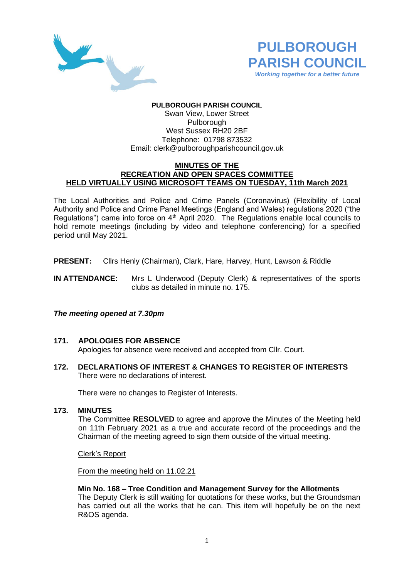



# **PULBOROUGH PARISH COUNCIL**

Swan View, Lower Street Pulborough West Sussex RH20 2BF Telephone: 01798 873532 Email: [clerk@pulboroughparishcouncil.gov.uk](mailto:clerk@pulboroughparishcouncil.gov.uk)

### **MINUTES OF THE RECREATION AND OPEN SPACES COMMITTEE HELD VIRTUALLY USING MICROSOFT TEAMS ON TUESDAY, 11th March 2021**

The Local Authorities and Police and Crime Panels (Coronavirus) (Flexibility of Local Authority and Police and Crime Panel Meetings (England and Wales) regulations 2020 ("the Regulations") came into force on  $4<sup>th</sup>$  April 2020. The Regulations enable local councils to hold remote meetings (including by video and telephone conferencing) for a specified period until May 2021.

- **PRESENT:** Cllrs Henly (Chairman), Clark, Hare, Harvey, Hunt, Lawson & Riddle
- **IN ATTENDANCE:** Mrs L Underwood (Deputy Clerk) & representatives of the sports clubs as detailed in minute no. 175.

## *The meeting opened at 7.30pm*

## **171. APOLOGIES FOR ABSENCE**

Apologies for absence were received and accepted from Cllr. Court.

**172. DECLARATIONS OF INTEREST & CHANGES TO REGISTER OF INTERESTS** There were no declarations of interest.

There were no changes to Register of Interests.

## **173. MINUTES**

The Committee **RESOLVED** to agree and approve the Minutes of the Meeting held on 11th February 2021 as a true and accurate record of the proceedings and the Chairman of the meeting agreed to sign them outside of the virtual meeting.

Clerk's Report

From the meeting held on 11.02.21

## **Min No. 168 – Tree Condition and Management Survey for the Allotments**

The Deputy Clerk is still waiting for quotations for these works, but the Groundsman has carried out all the works that he can. This item will hopefully be on the next R&OS agenda.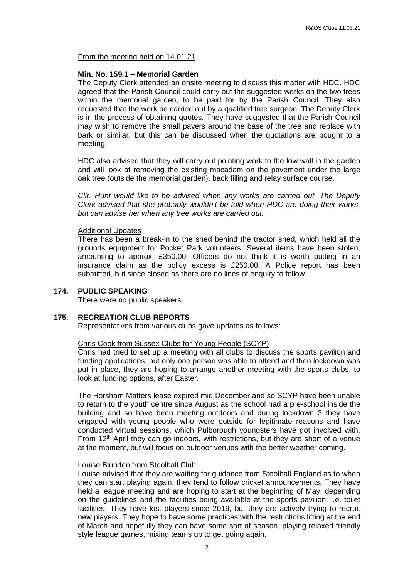From the meeting held on 14.01.21

## **Min. No. 159.1 – Memorial Garden**

The Deputy Clerk attended an onsite meeting to discuss this matter with HDC. HDC agreed that the Parish Council could carry out the suggested works on the two trees within the memorial garden, to be paid for by the Parish Council. They also requested that the work be carried out by a qualified tree surgeon. The Deputy Clerk is in the process of obtaining quotes. They have suggested that the Parish Council may wish to remove the small pavers around the base of the tree and replace with bark or similar, but this can be discussed when the quotations are bought to a meeting.

HDC also advised that they will carry out pointing work to the low wall in the garden and will look at removing the existing macadam on the pavement under the large oak tree (outside the memorial garden), back filling and relay surface course.

*Cllr. Hunt would like to be advised when any works are carried out. The Deputy Clerk advised that she probably wouldn't be told when HDC are doing their works, but can advise her when any tree works are carried out.*

## Additional Updates

There has been a break-in to the shed behind the tractor shed, which held all the grounds equipment for Pocket Park volunteers. Several items have been stolen, amounting to approx. £350.00. Officers do not think it is worth putting in an insurance claim as the policy excess is £250.00. A Police report has been submitted, but since closed as there are no lines of enquiry to follow.

## **174. PUBLIC SPEAKING**

There were no public speakers.

## **175. RECREATION CLUB REPORTS**

Representatives from various clubs gave updates as follows:

## Chris Cook from Sussex Clubs for Young People (SCYP)

Chris had tried to set up a meeting with all clubs to discuss the sports pavilion and funding applications, but only one person was able to attend and then lockdown was put in place, they are hoping to arrange another meeting with the sports clubs, to look at funding options, after Easter.

The Horsham Matters lease expired mid December and so SCYP have been unable to return to the youth centre since August as the school had a pre-school inside the building and so have been meeting outdoors and during lockdown 3 they have engaged with young people who were outside for legitimate reasons and have conducted virtual sessions, which Pulborough youngsters have got involved with. From  $12<sup>th</sup>$  April they can go indoors, with restrictions, but they are short of a venue at the moment, but will focus on outdoor venues with the better weather coming.

## Louise Blunden from Stoolball Club

Louise advised that they are waiting for guidance from Stoolball England as to when they can start playing again, they tend to follow cricket announcements. They have held a league meeting and are hoping to start at the beginning of May, depending on the guidelines and the facilities being available at the sports pavilion, i.e. toilet facilities. They have lost players since 2019, but they are actively trying to recruit new players. They hope to have some practices with the restrictions lifting at the end of March and hopefully they can have some sort of season, playing relaxed friendly style league games, mixing teams up to get going again.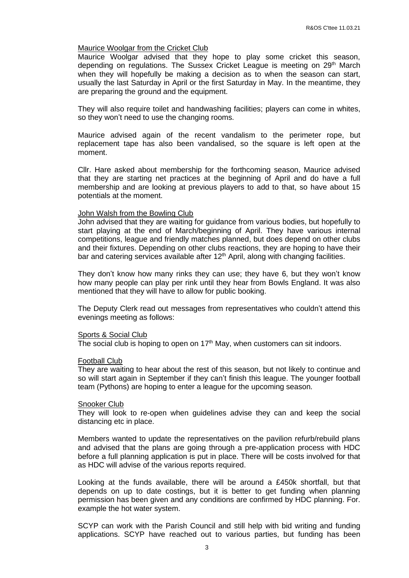#### Maurice Woolgar from the Cricket Club

Maurice Woolgar advised that they hope to play some cricket this season, depending on regulations. The Sussex Cricket League is meeting on 29<sup>th</sup> March when they will hopefully be making a decision as to when the season can start, usually the last Saturday in April or the first Saturday in May. In the meantime, they are preparing the ground and the equipment.

They will also require toilet and handwashing facilities; players can come in whites, so they won't need to use the changing rooms.

Maurice advised again of the recent vandalism to the perimeter rope, but replacement tape has also been vandalised, so the square is left open at the moment.

Cllr. Hare asked about membership for the forthcoming season, Maurice advised that they are starting net practices at the beginning of April and do have a full membership and are looking at previous players to add to that, so have about 15 potentials at the moment.

#### John Walsh from the Bowling Club

John advised that they are waiting for guidance from various bodies, but hopefully to start playing at the end of March/beginning of April. They have various internal competitions, league and friendly matches planned, but does depend on other clubs and their fixtures. Depending on other clubs reactions, they are hoping to have their bar and catering services available after  $12<sup>th</sup>$  April, along with changing facilities.

They don't know how many rinks they can use; they have 6, but they won't know how many people can play per rink until they hear from Bowls England. It was also mentioned that they will have to allow for public booking.

The Deputy Clerk read out messages from representatives who couldn't attend this evenings meeting as follows:

# Sports & Social Club

The social club is hoping to open on  $17<sup>th</sup>$  May, when customers can sit indoors.

#### Football Club

They are waiting to hear about the rest of this season, but not likely to continue and so will start again in September if they can't finish this league. The younger football team (Pythons) are hoping to enter a league for the upcoming season.

#### Snooker Club

They will look to re-open when guidelines advise they can and keep the social distancing etc in place.

Members wanted to update the representatives on the pavilion refurb/rebuild plans and advised that the plans are going through a pre-application process with HDC before a full planning application is put in place. There will be costs involved for that as HDC will advise of the various reports required.

Looking at the funds available, there will be around a £450k shortfall, but that depends on up to date costings, but it is better to get funding when planning permission has been given and any conditions are confirmed by HDC planning. For. example the hot water system.

SCYP can work with the Parish Council and still help with bid writing and funding applications. SCYP have reached out to various parties, but funding has been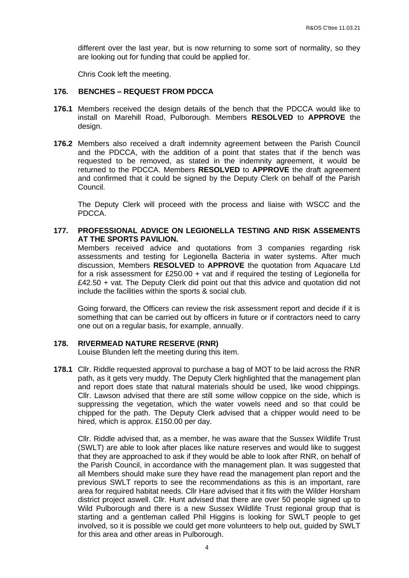different over the last year, but is now returning to some sort of normality, so they are looking out for funding that could be applied for.

Chris Cook left the meeting.

## **176. BENCHES – REQUEST FROM PDCCA**

- **176.1** Members received the design details of the bench that the PDCCA would like to install on Marehill Road, Pulborough. Members **RESOLVED** to **APPROVE** the design.
- **176.2** Members also received a draft indemnity agreement between the Parish Council and the PDCCA, with the addition of a point that states that if the bench was requested to be removed, as stated in the indemnity agreement, it would be returned to the PDCCA. Members **RESOLVED** to **APPROVE** the draft agreement and confirmed that it could be signed by the Deputy Clerk on behalf of the Parish Council.

The Deputy Clerk will proceed with the process and liaise with WSCC and the PDCCA.

**177. PROFESSIONAL ADVICE ON LEGIONELLA TESTING AND RISK ASSEMENTS AT THE SPORTS PAVILION.**

Members received advice and quotations from 3 companies regarding risk assessments and testing for Legionella Bacteria in water systems. After much discussion, Members **RESOLVED** to **APPROVE** the quotation from Aquacare Ltd for a risk assessment for  $£250.00 + vat$  and if required the testing of Legionella for £42.50 + vat. The Deputy Clerk did point out that this advice and quotation did not include the facilities within the sports & social club.

Going forward, the Officers can review the risk assessment report and decide if it is something that can be carried out by officers in future or if contractors need to carry one out on a regular basis, for example, annually.

## **178. RIVERMEAD NATURE RESERVE (RNR)**

Louise Blunden left the meeting during this item.

**178.1** Cllr. Riddle requested approval to purchase a bag of MOT to be laid across the RNR path, as it gets very muddy. The Deputy Clerk highlighted that the management plan and report does state that natural materials should be used, like wood chippings. Cllr. Lawson advised that there are still some willow coppice on the side, which is suppressing the vegetation, which the water vowels need and so that could be chipped for the path. The Deputy Clerk advised that a chipper would need to be hired, which is approx. £150.00 per day.

Cllr. Riddle advised that, as a member, he was aware that the Sussex Wildlife Trust (SWLT) are able to look after places like nature reserves and would like to suggest that they are approached to ask if they would be able to look after RNR, on behalf of the Parish Council, in accordance with the management plan. It was suggested that all Members should make sure they have read the management plan report and the previous SWLT reports to see the recommendations as this is an important, rare area for required habitat needs. Cllr Hare advised that it fits with the Wilder Horsham district project aswell. Cllr. Hunt advised that there are over 50 people signed up to Wild Pulborough and there is a new Sussex Wildlife Trust regional group that is starting and a gentleman called Phil Higgins is looking for SWLT people to get involved, so it is possible we could get more volunteers to help out, guided by SWLT for this area and other areas in Pulborough.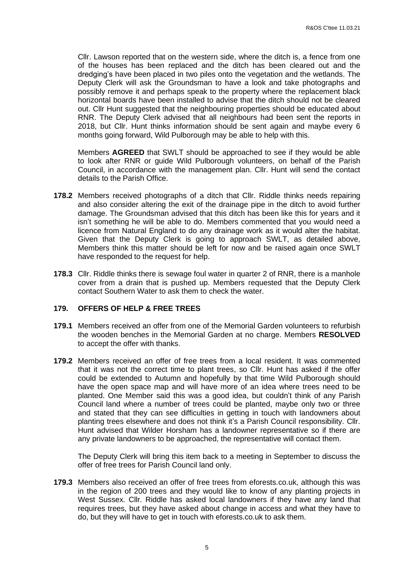Cllr. Lawson reported that on the western side, where the ditch is, a fence from one of the houses has been replaced and the ditch has been cleared out and the dredging's have been placed in two piles onto the vegetation and the wetlands. The Deputy Clerk will ask the Groundsman to have a look and take photographs and possibly remove it and perhaps speak to the property where the replacement black horizontal boards have been installed to advise that the ditch should not be cleared out. Cllr Hunt suggested that the neighbouring properties should be educated about RNR. The Deputy Clerk advised that all neighbours had been sent the reports in 2018, but Cllr. Hunt thinks information should be sent again and maybe every 6 months going forward, Wild Pulborough may be able to help with this.

Members **AGREED** that SWLT should be approached to see if they would be able to look after RNR or guide Wild Pulborough volunteers, on behalf of the Parish Council, in accordance with the management plan. Cllr. Hunt will send the contact details to the Parish Office.

- **178.2** Members received photographs of a ditch that Cllr. Riddle thinks needs repairing and also consider altering the exit of the drainage pipe in the ditch to avoid further damage. The Groundsman advised that this ditch has been like this for years and it isn't something he will be able to do. Members commented that you would need a licence from Natural England to do any drainage work as it would alter the habitat. Given that the Deputy Clerk is going to approach SWLT, as detailed above, Members think this matter should be left for now and be raised again once SWLT have responded to the request for help.
- **178.3** Cllr. Riddle thinks there is sewage foul water in quarter 2 of RNR, there is a manhole cover from a drain that is pushed up. Members requested that the Deputy Clerk contact Southern Water to ask them to check the water.

## **179. OFFERS OF HELP & FREE TREES**

- **179.1** Members received an offer from one of the Memorial Garden volunteers to refurbish the wooden benches in the Memorial Garden at no charge. Members **RESOLVED** to accept the offer with thanks.
- **179.2** Members received an offer of free trees from a local resident. It was commented that it was not the correct time to plant trees, so Cllr. Hunt has asked if the offer could be extended to Autumn and hopefully by that time Wild Pulborough should have the open space map and will have more of an idea where trees need to be planted. One Member said this was a good idea, but couldn't think of any Parish Council land where a number of trees could be planted, maybe only two or three and stated that they can see difficulties in getting in touch with landowners about planting trees elsewhere and does not think it's a Parish Council responsibility. Cllr. Hunt advised that Wilder Horsham has a landowner representative so if there are any private landowners to be approached, the representative will contact them.

The Deputy Clerk will bring this item back to a meeting in September to discuss the offer of free trees for Parish Council land only.

**179.3** Members also received an offer of free trees from eforests.co.uk, although this was in the region of 200 trees and they would like to know of any planting projects in West Sussex. Cllr. Riddle has asked local landowners if they have any land that requires trees, but they have asked about change in access and what they have to do, but they will have to get in touch with eforests.co.uk to ask them.